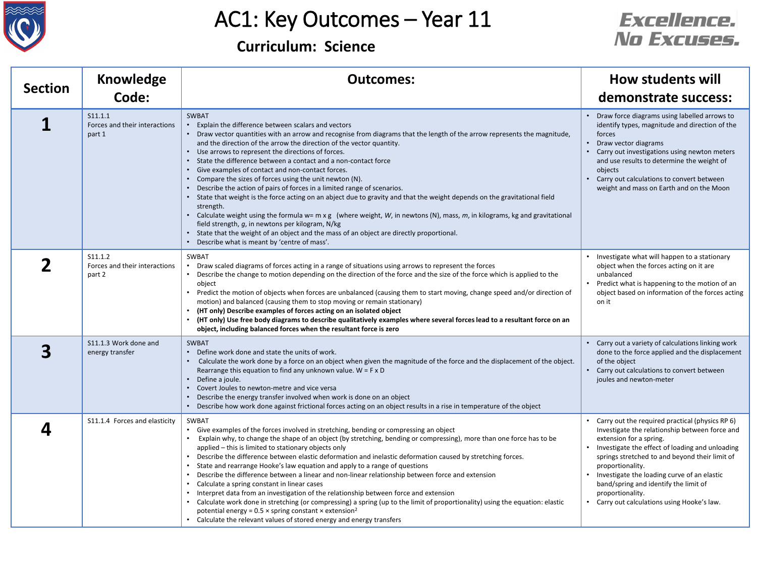



| <b>Section</b> | <b>Knowledge</b>                                   | <b>Outcomes:</b>                                                                                                                                                                                                                                                                                                                                                                                                                                                                                                                                                                                                                                                                                                                                                                                                                                                                                                                                                                                                                                                        | How students will                                                                                                                                                                                                                                                                                                                                                                                                                                     |
|----------------|----------------------------------------------------|-------------------------------------------------------------------------------------------------------------------------------------------------------------------------------------------------------------------------------------------------------------------------------------------------------------------------------------------------------------------------------------------------------------------------------------------------------------------------------------------------------------------------------------------------------------------------------------------------------------------------------------------------------------------------------------------------------------------------------------------------------------------------------------------------------------------------------------------------------------------------------------------------------------------------------------------------------------------------------------------------------------------------------------------------------------------------|-------------------------------------------------------------------------------------------------------------------------------------------------------------------------------------------------------------------------------------------------------------------------------------------------------------------------------------------------------------------------------------------------------------------------------------------------------|
|                | Code:                                              |                                                                                                                                                                                                                                                                                                                                                                                                                                                                                                                                                                                                                                                                                                                                                                                                                                                                                                                                                                                                                                                                         | demonstrate success:                                                                                                                                                                                                                                                                                                                                                                                                                                  |
|                | S11.1.1<br>Forces and their interactions<br>part 1 | <b>SWBAT</b><br>Explain the difference between scalars and vectors<br>• Draw vector quantities with an arrow and recognise from diagrams that the length of the arrow represents the magnitude,<br>and the direction of the arrow the direction of the vector quantity.<br>Use arrows to represent the directions of forces.<br>State the difference between a contact and a non-contact force<br>Give examples of contact and non-contact forces.<br>Compare the sizes of forces using the unit newton (N).<br>Describe the action of pairs of forces in a limited range of scenarios.<br>• State that weight is the force acting on an abject due to gravity and that the weight depends on the gravitational field<br>strength.<br>Calculate weight using the formula $w = m \times g$ (where weight, W, in newtons (N), mass, m, in kilograms, kg and gravitational<br>field strength, g, in newtons per kilogram, N/kg<br>State that the weight of an object and the mass of an object are directly proportional.<br>• Describe what is meant by 'centre of mass'. | • Draw force diagrams using labelled arrows to<br>identify types, magnitude and direction of the<br>forces<br>Draw vector diagrams<br>$\bullet$<br>• Carry out investigations using newton meters<br>and use results to determine the weight of<br>objects<br>Carry out calculations to convert between<br>weight and mass on Earth and on the Moon                                                                                                   |
|                | S11.1.2<br>Forces and their interactions<br>part 2 | <b>SWBAT</b><br>Draw scaled diagrams of forces acting in a range of situations using arrows to represent the forces<br>• Describe the change to motion depending on the direction of the force and the size of the force which is applied to the<br>object<br>• Predict the motion of objects when forces are unbalanced (causing them to start moving, change speed and/or direction of<br>motion) and balanced (causing them to stop moving or remain stationary)<br>(HT only) Describe examples of forces acting on an isolated object<br>(HT only) Use free body diagrams to describe qualitatively examples where several forces lead to a resultant force on an<br>object, including balanced forces when the resultant force is zero                                                                                                                                                                                                                                                                                                                             | Investigate what will happen to a stationary<br>object when the forces acting on it are<br>unbalanced<br>• Predict what is happening to the motion of an<br>object based on information of the forces acting<br>on it                                                                                                                                                                                                                                 |
|                | S11.1.3 Work done and<br>energy transfer           | <b>SWBAT</b><br>• Define work done and state the units of work.<br>Calculate the work done by a force on an object when given the magnitude of the force and the displacement of the object.<br>Rearrange this equation to find any unknown value. $W = F \times D$<br>Define a joule.<br>Covert Joules to newton-metre and vice versa<br>Describe the energy transfer involved when work is done on an object<br>Describe how work done against frictional forces acting on an object results in a rise in temperature of the object                                                                                                                                                                                                                                                                                                                                                                                                                                                                                                                                   | • Carry out a variety of calculations linking work<br>done to the force applied and the displacement<br>of the object<br>• Carry out calculations to convert between<br>joules and newton-meter                                                                                                                                                                                                                                                       |
|                | S11.1.4 Forces and elasticity                      | <b>SWBAT</b><br>• Give examples of the forces involved in stretching, bending or compressing an object<br>Explain why, to change the shape of an object (by stretching, bending or compressing), more than one force has to be<br>applied – this is limited to stationary objects only<br>Describe the difference between elastic deformation and inelastic deformation caused by stretching forces.<br>State and rearrange Hooke's law equation and apply to a range of questions<br>Describe the difference between a linear and non-linear relationship between force and extension<br>Calculate a spring constant in linear cases<br>• Interpret data from an investigation of the relationship between force and extension<br>• Calculate work done in stretching (or compressing) a spring (up to the limit of proportionality) using the equation: elastic<br>potential energy = $0.5 \times$ spring constant $\times$ extension <sup>2</sup><br>Calculate the relevant values of stored energy and energy transfers                                             | Carry out the required practical (physics RP 6)<br>Investigate the relationship between force and<br>extension for a spring.<br>Investigate the effect of loading and unloading<br>$\bullet$<br>springs stretched to and beyond their limit of<br>proportionality.<br>Investigate the loading curve of an elastic<br>$\bullet$<br>band/spring and identify the limit of<br>proportionality.<br>Carry out calculations using Hooke's law.<br>$\bullet$ |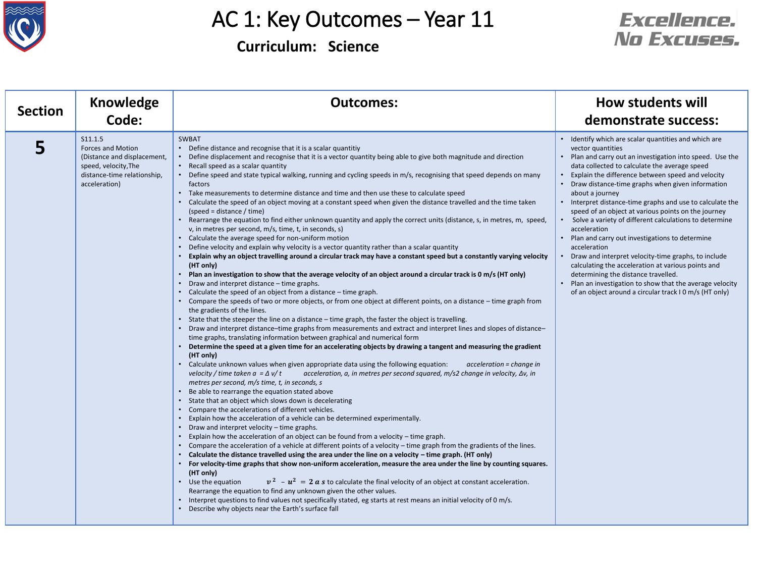



| <b>Section</b> | <b>Knowledge</b>                                                                                                                    | <b>Outcomes:</b>                                                                                                                                                                                                                                                                                                                                                                                                                                                                                                                                                                                                                                                                                                                                                                                                                                                                                                                                                                                                                                                                                                                                                                                                                                                                                                                                                                                                                                                                                                                                                                                                                                                                                                                                                                                                                                                                                                                                                                                                                                                                                                                                                                                                                                                                                                                                                                                                                                                                                                                                                                                                                                                                                                                                                                                                                                                                                                                                                                                                                                                                                                                                                                                                                                                                                                                                                              | How students will                                                                                                                                                                                                                                                                                                                                                                                                                                                                                                                                                                                                                                                                                                                                                                                                                                        |
|----------------|-------------------------------------------------------------------------------------------------------------------------------------|-------------------------------------------------------------------------------------------------------------------------------------------------------------------------------------------------------------------------------------------------------------------------------------------------------------------------------------------------------------------------------------------------------------------------------------------------------------------------------------------------------------------------------------------------------------------------------------------------------------------------------------------------------------------------------------------------------------------------------------------------------------------------------------------------------------------------------------------------------------------------------------------------------------------------------------------------------------------------------------------------------------------------------------------------------------------------------------------------------------------------------------------------------------------------------------------------------------------------------------------------------------------------------------------------------------------------------------------------------------------------------------------------------------------------------------------------------------------------------------------------------------------------------------------------------------------------------------------------------------------------------------------------------------------------------------------------------------------------------------------------------------------------------------------------------------------------------------------------------------------------------------------------------------------------------------------------------------------------------------------------------------------------------------------------------------------------------------------------------------------------------------------------------------------------------------------------------------------------------------------------------------------------------------------------------------------------------------------------------------------------------------------------------------------------------------------------------------------------------------------------------------------------------------------------------------------------------------------------------------------------------------------------------------------------------------------------------------------------------------------------------------------------------------------------------------------------------------------------------------------------------------------------------------------------------------------------------------------------------------------------------------------------------------------------------------------------------------------------------------------------------------------------------------------------------------------------------------------------------------------------------------------------------------------------------------------------------------------------------------------------------|----------------------------------------------------------------------------------------------------------------------------------------------------------------------------------------------------------------------------------------------------------------------------------------------------------------------------------------------------------------------------------------------------------------------------------------------------------------------------------------------------------------------------------------------------------------------------------------------------------------------------------------------------------------------------------------------------------------------------------------------------------------------------------------------------------------------------------------------------------|
|                | Code:                                                                                                                               |                                                                                                                                                                                                                                                                                                                                                                                                                                                                                                                                                                                                                                                                                                                                                                                                                                                                                                                                                                                                                                                                                                                                                                                                                                                                                                                                                                                                                                                                                                                                                                                                                                                                                                                                                                                                                                                                                                                                                                                                                                                                                                                                                                                                                                                                                                                                                                                                                                                                                                                                                                                                                                                                                                                                                                                                                                                                                                                                                                                                                                                                                                                                                                                                                                                                                                                                                                               | demonstrate success:                                                                                                                                                                                                                                                                                                                                                                                                                                                                                                                                                                                                                                                                                                                                                                                                                                     |
|                | S11.1.5<br>Forces and Motion<br>(Distance and displacement,<br>speed, velocity, The<br>distance-time relationship,<br>acceleration) | <b>SWBAT</b><br>Define distance and recognise that it is a scalar quantitiy<br>Define displacement and recognise that it is a vector quantity being able to give both magnitude and direction<br>Recall speed as a scalar quantity<br>$\bullet$<br>Define speed and state typical walking, running and cycling speeds in m/s, recognising that speed depends on many<br>factors<br>Take measurements to determine distance and time and then use these to calculate speed<br>Calculate the speed of an object moving at a constant speed when given the distance travelled and the time taken<br>(speed = distance / time)<br>Rearrange the equation to find either unknown quantity and apply the correct units (distance, s, in metres, m, speed,<br>v, in metres per second, m/s, time, t, in seconds, s)<br>Calculate the average speed for non-uniform motion<br>Define velocity and explain why velocity is a vector quantity rather than a scalar quantity<br>Explain why an object travelling around a circular track may have a constant speed but a constantly varying velocity<br>(HT only)<br>Plan an investigation to show that the average velocity of an object around a circular track is 0 m/s (HT only)<br>Draw and interpret distance - time graphs.<br>Calculate the speed of an object from a distance - time graph.<br>Compare the speeds of two or more objects, or from one object at different points, on a distance – time graph from<br>the gradients of the lines.<br>State that the steeper the line on a distance - time graph, the faster the object is travelling.<br>Draw and interpret distance-time graphs from measurements and extract and interpret lines and slopes of distance-<br>time graphs, translating information between graphical and numerical form<br>Determine the speed at a given time for an accelerating objects by drawing a tangent and measuring the gradient<br>(HT only)<br>Calculate unknown values when given appropriate data using the following equation:<br>acceleration = change in<br>velocity / time taken $a = \Delta v/t$<br>acceleration, a, in metres per second squared, m/s2 change in velocity, Δν, in<br>metres per second, m/s time, t, in seconds, s<br>Be able to rearrange the equation stated above<br>State that an object which slows down is decelerating<br>Compare the accelerations of different vehicles.<br>• Explain how the acceleration of a vehicle can be determined experimentally.<br>Draw and interpret velocity - time graphs.<br>• Explain how the acceleration of an object can be found from a velocity – time graph.<br>• Compare the acceleration of a vehicle at different points of a velocity – time graph from the gradients of the lines.<br>• Calculate the distance travelled using the area under the line on a velocity – time graph. (HT only)<br>• For velocity-time graphs that show non-uniform acceleration, measure the area under the line by counting squares.<br>(HT only)<br>$v^2 - u^2 = 2 a s$ to calculate the final velocity of an object at constant acceleration.<br>• Use the equation<br>Rearrange the equation to find any unknown given the other values.<br>• Interpret questions to find values not specifically stated, eg starts at rest means an initial velocity of 0 m/s.<br>• Describe why objects near the Earth's surface fall | • Identify which are scalar quantities and which are<br>vector quantities<br>Plan and carry out an investigation into speed. Use the<br>data collected to calculate the average speed<br>Explain the difference between speed and velocity<br>Draw distance-time graphs when given information<br>about a journey<br>Interpret distance-time graphs and use to calculate the<br>speed of an object at various points on the journey<br>Solve a variety of different calculations to determine<br>acceleration<br>Plan and carry out investigations to determine<br>acceleration<br>Draw and interpret velocity-time graphs, to include<br>calculating the acceleration at various points and<br>determining the distance travelled.<br>Plan an investigation to show that the average velocity<br>of an object around a circular track I 0 m/s (HT only) |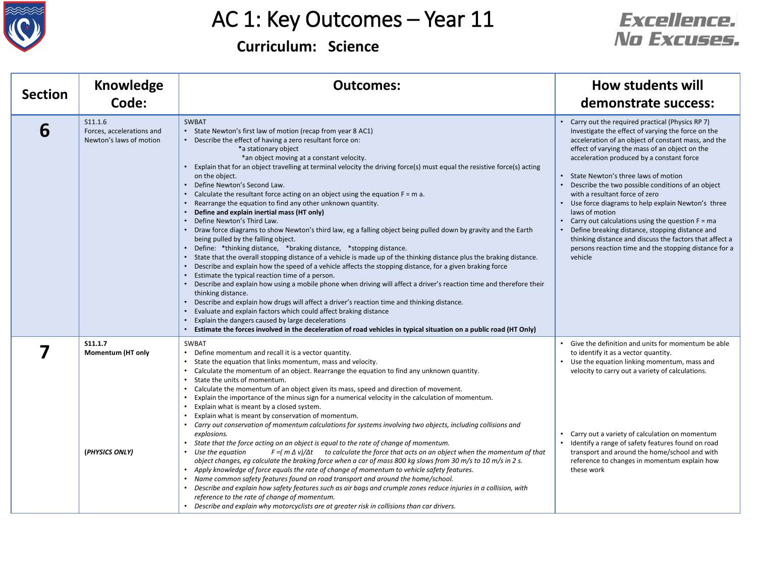



| <b>Section</b> | <b>Knowledge</b><br>Code:                                       | <b>Outcomes:</b>                                                                                                                                                                                                                                                                                                                                                                                                                                                                                                                                                                                                                                                                                                                                                                                                                                                                                                                                                                                                                                                                                                                                                                                                                                                                                                                                                                                                                                                                                                                                                                                                                      | How students will<br>demonstrate success:                                                                                                                                                                                                                                                                                                                                                                                                                                                                                                                                                                                                                                                                |
|----------------|-----------------------------------------------------------------|---------------------------------------------------------------------------------------------------------------------------------------------------------------------------------------------------------------------------------------------------------------------------------------------------------------------------------------------------------------------------------------------------------------------------------------------------------------------------------------------------------------------------------------------------------------------------------------------------------------------------------------------------------------------------------------------------------------------------------------------------------------------------------------------------------------------------------------------------------------------------------------------------------------------------------------------------------------------------------------------------------------------------------------------------------------------------------------------------------------------------------------------------------------------------------------------------------------------------------------------------------------------------------------------------------------------------------------------------------------------------------------------------------------------------------------------------------------------------------------------------------------------------------------------------------------------------------------------------------------------------------------|----------------------------------------------------------------------------------------------------------------------------------------------------------------------------------------------------------------------------------------------------------------------------------------------------------------------------------------------------------------------------------------------------------------------------------------------------------------------------------------------------------------------------------------------------------------------------------------------------------------------------------------------------------------------------------------------------------|
| 6              | S11.1.6<br>Forces, accelerations and<br>Newton's laws of motion | <b>SWBAT</b><br>State Newton's first law of motion (recap from year 8 AC1)<br>Describe the effect of having a zero resultant force on:<br>*a stationary object<br>*an object moving at a constant velocity.<br>Explain that for an object travelling at terminal velocity the driving force(s) must equal the resistive force(s) acting<br>on the object.<br>Define Newton's Second Law.<br>Calculate the resultant force acting on an object using the equation $F = m a$ .<br>Rearrange the equation to find any other unknown quantity.<br>Define and explain inertial mass (HT only)<br>Define Newton's Third Law.<br>Draw force diagrams to show Newton's third law, eg a falling object being pulled down by gravity and the Earth<br>being pulled by the falling object.<br>Define: *thinking distance, *braking distance, *stopping distance.<br>State that the overall stopping distance of a vehicle is made up of the thinking distance plus the braking distance.<br>Describe and explain how the speed of a vehicle affects the stopping distance, for a given braking force<br>Estimate the typical reaction time of a person.<br>Describe and explain how using a mobile phone when driving will affect a driver's reaction time and therefore their<br>thinking distance.<br>Describe and explain how drugs will affect a driver's reaction time and thinking distance.<br>Evaluate and explain factors which could affect braking distance<br>Explain the dangers caused by large decelerations<br>Estimate the forces involved in the deceleration of road vehicles in typical situation on a public road (HT Only) | Carry out the required practical (Physics RP 7)<br>Investigate the effect of varying the force on the<br>acceleration of an object of constant mass, and the<br>effect of varying the mass of an object on the<br>acceleration produced by a constant force<br>State Newton's three laws of motion<br>Describe the two possible conditions of an object<br>with a resultant force of zero<br>Use force diagrams to help explain Newton's three<br>laws of motion<br>Carry out calculations using the question $F = ma$<br>Define breaking distance, stopping distance and<br>thinking distance and discuss the factors that affect a<br>persons reaction time and the stopping distance for a<br>vehicle |
|                | S11.1.7<br><b>Momentum (HT only</b><br>(PHYSICS ONLY)           | SWBAT<br>Define momentum and recall it is a vector quantity.<br>State the equation that links momentum, mass and velocity.<br>Calculate the momentum of an object. Rearrange the equation to find any unknown quantity.<br>State the units of momentum.<br>Calculate the momentum of an object given its mass, speed and direction of movement.<br>Explain the importance of the minus sign for a numerical velocity in the calculation of momentum.<br>Explain what is meant by a closed system.<br>Explain what is meant by conservation of momentum.<br>Carry out conservation of momentum calculations for systems involving two objects, including collisions and<br>explosions.<br>State that the force acting on an object is equal to the rate of change of momentum.<br>$F = (m \Delta v)/\Delta t$ to calculate the force that acts on an object when the momentum of that<br>Use the equation<br>object changes, eg calculate the braking force when a car of mass 800 kg slows from 30 m/s to 10 m/s in 2 s.<br>Apply knowledge of force equals the rate of change of momentum to vehicle safety features.<br>Name common safety features found on road transport and around the home/school.<br>Describe and explain how safety features such as air bags and crumple zones reduce injuries in a collision, with<br>reference to the rate of change of momentum.<br>Describe and explain why motorcyclists are at greater risk in collisions than car drivers.                                                                                                                                                           | • Give the definition and units for momentum be able<br>to identify it as a vector quantity.<br>• Use the equation linking momentum, mass and<br>velocity to carry out a variety of calculations.<br>Carry out a variety of calculation on momentum<br>Identify a range of safety features found on road<br>$\bullet$<br>transport and around the home/school and with<br>reference to changes in momentum explain how<br>these work                                                                                                                                                                                                                                                                     |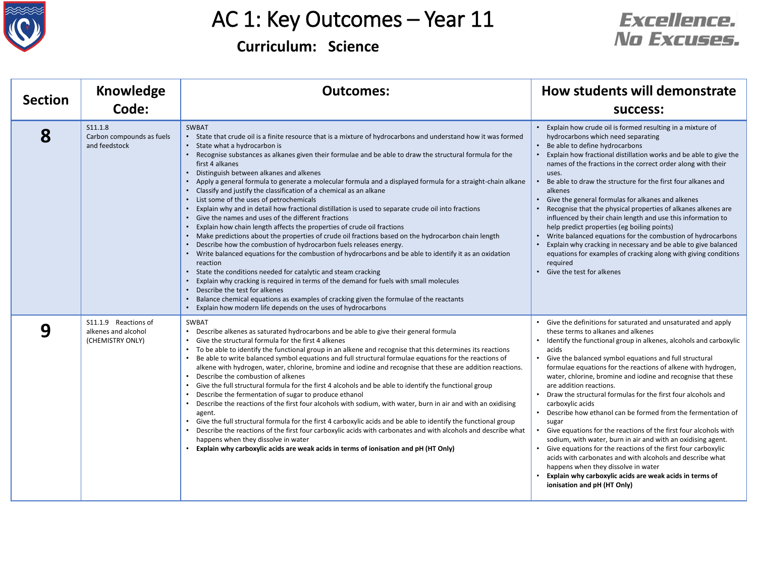



| <b>Section</b> | <b>Knowledge</b>                                                | <b>Outcomes:</b>                                                                                                                                                                                                                                                                                                                                                                                                                                                                                                                                                                                                                                                                                                                                                                                                                                                                                                                                                                                                                                                                                                                                                                                                                                                                                                                                                                                                                                                    | How students will demonstrate                                                                                                                                                                                                                                                                                                                                                                                                                                                                                                                                                                                                                                                                                                                                                                                                                                                                                                                                           |
|----------------|-----------------------------------------------------------------|---------------------------------------------------------------------------------------------------------------------------------------------------------------------------------------------------------------------------------------------------------------------------------------------------------------------------------------------------------------------------------------------------------------------------------------------------------------------------------------------------------------------------------------------------------------------------------------------------------------------------------------------------------------------------------------------------------------------------------------------------------------------------------------------------------------------------------------------------------------------------------------------------------------------------------------------------------------------------------------------------------------------------------------------------------------------------------------------------------------------------------------------------------------------------------------------------------------------------------------------------------------------------------------------------------------------------------------------------------------------------------------------------------------------------------------------------------------------|-------------------------------------------------------------------------------------------------------------------------------------------------------------------------------------------------------------------------------------------------------------------------------------------------------------------------------------------------------------------------------------------------------------------------------------------------------------------------------------------------------------------------------------------------------------------------------------------------------------------------------------------------------------------------------------------------------------------------------------------------------------------------------------------------------------------------------------------------------------------------------------------------------------------------------------------------------------------------|
|                | Code:                                                           |                                                                                                                                                                                                                                                                                                                                                                                                                                                                                                                                                                                                                                                                                                                                                                                                                                                                                                                                                                                                                                                                                                                                                                                                                                                                                                                                                                                                                                                                     | success:                                                                                                                                                                                                                                                                                                                                                                                                                                                                                                                                                                                                                                                                                                                                                                                                                                                                                                                                                                |
| 8              | S11.1.8<br>Carbon compounds as fuels<br>and feedstock           | <b>SWBAT</b><br>• State that crude oil is a finite resource that is a mixture of hydrocarbons and understand how it was formed<br>State what a hydrocarbon is<br>Recognise substances as alkanes given their formulae and be able to draw the structural formula for the<br>first 4 alkanes<br>Distinguish between alkanes and alkenes<br>Apply a general formula to generate a molecular formula and a displayed formula for a straight-chain alkane<br>Classify and justify the classification of a chemical as an alkane<br>List some of the uses of petrochemicals<br>Explain why and in detail how fractional distillation is used to separate crude oil into fractions<br>• Give the names and uses of the different fractions<br>Explain how chain length affects the properties of crude oil fractions<br>Make predictions about the properties of crude oil fractions based on the hydrocarbon chain length<br>Describe how the combustion of hydrocarbon fuels releases energy.<br>Write balanced equations for the combustion of hydrocarbons and be able to identify it as an oxidation<br>reaction<br>State the conditions needed for catalytic and steam cracking<br>Explain why cracking is required in terms of the demand for fuels with small molecules<br>Describe the test for alkenes<br>Balance chemical equations as examples of cracking given the formulae of the reactants<br>Explain how modern life depends on the uses of hydrocarbons | Explain how crude oil is formed resulting in a mixture of<br>hydrocarbons which need separating<br>Be able to define hydrocarbons<br>Explain how fractional distillation works and be able to give the<br>names of the fractions in the correct order along with their<br>uses.<br>Be able to draw the structure for the first four alkanes and<br>alkenes<br>Give the general formulas for alkanes and alkenes<br>Recognise that the physical properties of alkanes alkenes are<br>influenced by their chain length and use this information to<br>help predict properties (eg boiling points)<br>Write balanced equations for the combustion of hydrocarbons<br>Explain why cracking in necessary and be able to give balanced<br>equations for examples of cracking along with giving conditions<br>required<br>Give the test for alkenes                                                                                                                            |
| 9              | S11.1.9 Reactions of<br>alkenes and alcohol<br>(CHEMISTRY ONLY) | SWBAT<br>Describe alkenes as saturated hydrocarbons and be able to give their general formula<br>• Give the structural formula for the first 4 alkenes<br>• To be able to identify the functional group in an alkene and recognise that this determines its reactions<br>Be able to write balanced symbol equations and full structural formulae equations for the reactions of<br>alkene with hydrogen, water, chlorine, bromine and iodine and recognise that these are addition reactions.<br>Describe the combustion of alkenes<br>• Give the full structural formula for the first 4 alcohols and be able to identify the functional group<br>Describe the fermentation of sugar to produce ethanol<br>Describe the reactions of the first four alcohols with sodium, with water, burn in air and with an oxidising<br>agent.<br>Give the full structural formula for the first 4 carboxylic acids and be able to identify the functional group<br>Describe the reactions of the first four carboxylic acids with carbonates and with alcohols and describe what<br>happens when they dissolve in water<br>Explain why carboxylic acids are weak acids in terms of ionisation and pH (HT Only)                                                                                                                                                                                                                                                                 | Give the definitions for saturated and unsaturated and apply<br>these terms to alkanes and alkenes<br>Identify the functional group in alkenes, alcohols and carboxylic<br>acids<br>Give the balanced symbol equations and full structural<br>formulae equations for the reactions of alkene with hydrogen,<br>water, chlorine, bromine and iodine and recognise that these<br>are addition reactions.<br>Draw the structural formulas for the first four alcohols and<br>carboxylic acids<br>• Describe how ethanol can be formed from the fermentation of<br>sugar<br>Give equations for the reactions of the first four alcohols with<br>sodium, with water, burn in air and with an oxidising agent.<br>Give equations for the reactions of the first four carboxylic<br>acids with carbonates and with alcohols and describe what<br>happens when they dissolve in water<br>Explain why carboxylic acids are weak acids in terms of<br>ionisation and pH (HT Only) |